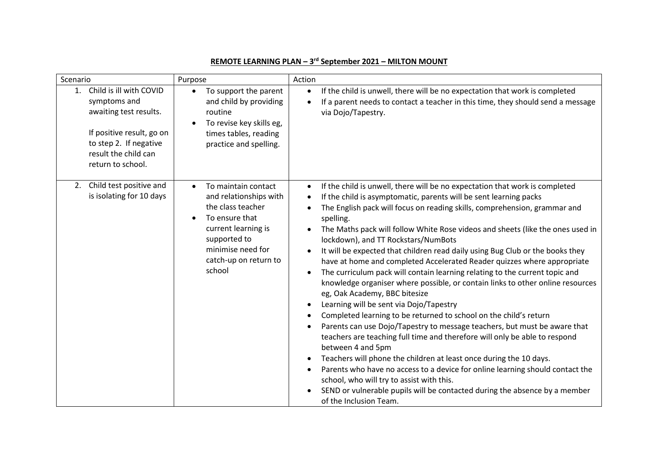| Scenario                                                                                                                                                                    | Purpose                                                                                                                                                                                          | Action                                                                                                                                                                                                                                                                                                                                                                                                                                                                                                                                                                                                                                                                                                                                                                                                                                                                                                                                                                                                                                                                                                                                                                                                                                                                                                                                                     |
|-----------------------------------------------------------------------------------------------------------------------------------------------------------------------------|--------------------------------------------------------------------------------------------------------------------------------------------------------------------------------------------------|------------------------------------------------------------------------------------------------------------------------------------------------------------------------------------------------------------------------------------------------------------------------------------------------------------------------------------------------------------------------------------------------------------------------------------------------------------------------------------------------------------------------------------------------------------------------------------------------------------------------------------------------------------------------------------------------------------------------------------------------------------------------------------------------------------------------------------------------------------------------------------------------------------------------------------------------------------------------------------------------------------------------------------------------------------------------------------------------------------------------------------------------------------------------------------------------------------------------------------------------------------------------------------------------------------------------------------------------------------|
| Child is ill with COVID<br>1.<br>symptoms and<br>awaiting test results.<br>If positive result, go on<br>to step 2. If negative<br>result the child can<br>return to school. | To support the parent<br>$\bullet$<br>and child by providing<br>routine<br>To revise key skills eg,<br>times tables, reading<br>practice and spelling.                                           | If the child is unwell, there will be no expectation that work is completed<br>$\bullet$<br>If a parent needs to contact a teacher in this time, they should send a message<br>via Dojo/Tapestry.                                                                                                                                                                                                                                                                                                                                                                                                                                                                                                                                                                                                                                                                                                                                                                                                                                                                                                                                                                                                                                                                                                                                                          |
| Child test positive and<br>2.<br>is isolating for 10 days                                                                                                                   | To maintain contact<br>$\bullet$<br>and relationships with<br>the class teacher<br>To ensure that<br>current learning is<br>supported to<br>minimise need for<br>catch-up on return to<br>school | If the child is unwell, there will be no expectation that work is completed<br>If the child is asymptomatic, parents will be sent learning packs<br>$\bullet$<br>The English pack will focus on reading skills, comprehension, grammar and<br>spelling.<br>The Maths pack will follow White Rose videos and sheets (like the ones used in<br>lockdown), and TT Rockstars/NumBots<br>It will be expected that children read daily using Bug Club or the books they<br>have at home and completed Accelerated Reader quizzes where appropriate<br>The curriculum pack will contain learning relating to the current topic and<br>knowledge organiser where possible, or contain links to other online resources<br>eg, Oak Academy, BBC bitesize<br>Learning will be sent via Dojo/Tapestry<br>Completed learning to be returned to school on the child's return<br>Parents can use Dojo/Tapestry to message teachers, but must be aware that<br>teachers are teaching full time and therefore will only be able to respond<br>between 4 and 5pm<br>Teachers will phone the children at least once during the 10 days.<br>Parents who have no access to a device for online learning should contact the<br>school, who will try to assist with this.<br>SEND or vulnerable pupils will be contacted during the absence by a member<br>of the Inclusion Team. |

## **REMOTE LEARNING PLAN – 3 rd September 2021 – MILTON MOUNT**